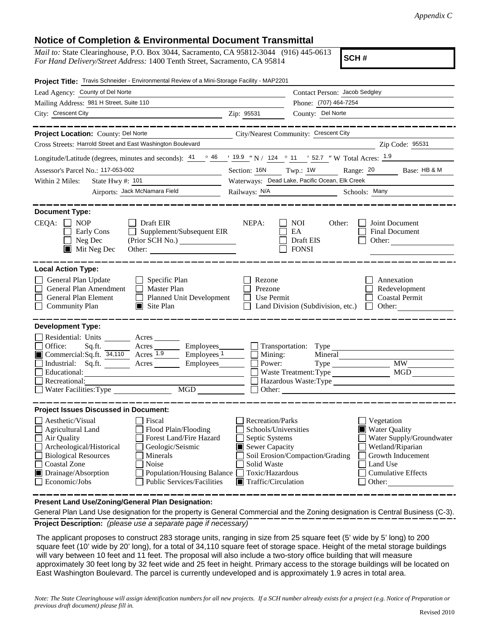## **Notice of Completion & Environmental Document Transmittal**

*Mail to:* State Clearinghouse, P.O. Box 3044, Sacramento, CA 95812-3044 (916) 445-0613 *For Hand Delivery/Street Address:* 1400 Tenth Street, Sacramento, CA 95814

**SCH #**

| Project Title: Travis Schneider - Environmental Review of a Mini-Storage Facility - MAP2201                                                                                                                                                                                                                                                                                                        |                                                                                                                                                             |                                                                                                                                                                                                 |  |
|----------------------------------------------------------------------------------------------------------------------------------------------------------------------------------------------------------------------------------------------------------------------------------------------------------------------------------------------------------------------------------------------------|-------------------------------------------------------------------------------------------------------------------------------------------------------------|-------------------------------------------------------------------------------------------------------------------------------------------------------------------------------------------------|--|
| Lead Agency: County of Del Norte                                                                                                                                                                                                                                                                                                                                                                   |                                                                                                                                                             | Contact Person: Jacob Sedgley<br>Phone: (707) 464-7254                                                                                                                                          |  |
| Mailing Address: 981 H Street, Suite 110                                                                                                                                                                                                                                                                                                                                                           |                                                                                                                                                             |                                                                                                                                                                                                 |  |
| City: Crescent City<br><u>2</u> Zip: 95531                                                                                                                                                                                                                                                                                                                                                         |                                                                                                                                                             | County: Del Norte                                                                                                                                                                               |  |
| Project Location: County: Del Norte<br>City/Nearest Community: Crescent City                                                                                                                                                                                                                                                                                                                       |                                                                                                                                                             |                                                                                                                                                                                                 |  |
| Cross Streets: Harrold Street and East Washington Boulevard                                                                                                                                                                                                                                                                                                                                        |                                                                                                                                                             | Zip Code: 95531                                                                                                                                                                                 |  |
| Longitude/Latitude (degrees, minutes and seconds): $\frac{41}{9}$ $\frac{46}{9}$ $\frac{19.9}{9}$ N / $\frac{124}{124}$ $\frac{11}{9}$ $\frac{127}{9}$ W Total Acres: $\frac{1.9}{9}$                                                                                                                                                                                                              |                                                                                                                                                             |                                                                                                                                                                                                 |  |
| Assessor's Parcel No.: 117-053-002                                                                                                                                                                                                                                                                                                                                                                 | Section: 16N Twp.: 1W                                                                                                                                       | Range: 20<br>Base: HB & M                                                                                                                                                                       |  |
| State Hwy #: 101<br>Within 2 Miles:                                                                                                                                                                                                                                                                                                                                                                |                                                                                                                                                             | Waterways: Dead Lake, Pacific Ocean, Elk Creek                                                                                                                                                  |  |
| Airports: Jack McNamara Field                                                                                                                                                                                                                                                                                                                                                                      | Railways: <u>N/A</u>                                                                                                                                        | Schools: Many                                                                                                                                                                                   |  |
| <b>Document Type:</b><br>$CEQA: \Box NP$<br>$\Box$ Draft EIR<br>Supplement/Subsequent EIR<br>Early Cons<br>$\Box$ Neg Dec<br>Mit Neg Dec                                                                                                                                                                                                                                                           | NEPA:                                                                                                                                                       | Joint Document<br>NOI —<br>Other:<br>EA<br><b>Final Document</b><br>Draft EIS<br>Other:<br>$\Box$ FONSI                                                                                         |  |
|                                                                                                                                                                                                                                                                                                                                                                                                    |                                                                                                                                                             |                                                                                                                                                                                                 |  |
| <b>Local Action Type:</b><br>$\Box$ Specific Plan<br>General Plan Update<br>General Plan Amendment<br>Master Plan<br>$\Box$<br><b>General Plan Element</b><br>Planned Unit Development<br>Community Plan<br>$\blacksquare$ Site Plan                                                                                                                                                               | Rezone<br>Prezone<br>$\Box$ Use Permit                                                                                                                      | Annexation<br>Redevelopment<br>Coastal Permit<br>$\Box$ Land Division (Subdivision, etc.)<br>$\Box$ Other:                                                                                      |  |
| <b>Development Type:</b><br>Residential: Units ________ Acres ____<br>Office:<br>Sq.ft. ________ Acres _________ Employees ________ __ Transportation: Type ____<br>Commercial:Sq.ft. $\overline{34,110}$ Acres $\overline{1.9}$<br>$\equiv$ Employees $\frac{1}{\sqrt{2}}$<br>Industrial: Sq.ft. Acres Employees<br>Educational:<br>Recreational:<br>Water Facilities: Type<br>MGD                | Mining:<br>Power:                                                                                                                                           | Mineral<br>Type MW<br>Hazardous Waste:Type<br>$\Box$ Other:                                                                                                                                     |  |
| <b>Project Issues Discussed in Document:</b>                                                                                                                                                                                                                                                                                                                                                       |                                                                                                                                                             |                                                                                                                                                                                                 |  |
| Aesthetic/Visual<br>l Fiscal<br><b>Agricultural Land</b><br>Flood Plain/Flooding<br>$\Box$<br>Air Quality<br>Forest Land/Fire Hazard<br>Archeological/Historical<br>Geologic/Seismic<br>$\Box$<br><b>Biological Resources</b><br><b>Minerals</b><br>П<br><b>Coastal Zone</b><br>Noise<br>Drainage/Absorption<br>Population/Housing Balance [<br>Economic/Jobs<br><b>Public Services/Facilities</b> | <b>Recreation/Parks</b><br>Schools/Universities<br>Septic Systems<br>Sewer Capacity<br>Solid Waste<br>Toxic/Hazardous<br>$\blacksquare$ Traffic/Circulation | $\Box$ Vegetation<br>■ Water Quality<br>Water Supply/Groundwater<br>Wetland/Riparian<br>Soil Erosion/Compaction/Grading<br>Growth Inducement<br>Land Use<br><b>Cumulative Effects</b><br>Other: |  |

**Present Land Use/Zoning/General Plan Designation:**

**Project Description:** *(please use a separate page if necessary)* General Plan Land Use designation for the property is General Commercial and the Zoning designation is Central Business (C-3).

 The applicant proposes to construct 283 storage units, ranging in size from 25 square feet (5' wide by 5' long) to 200 square feet (10' wide by 20' long), for a total of 34,110 square feet of storage space. Height of the metal storage buildings will vary between 10 feet and 11 feet. The proposal will also include a two-story office building that will measure approximately 30 feet long by 32 feet wide and 25 feet in height. Primary access to the storage buildings will be located on East Washington Boulevard. The parcel is currently undeveloped and is approximately 1.9 acres in total area.

*Note: The State Clearinghouse will assign identification numbers for all new projects. If a SCH number already exists for a project (e.g. Notice of Preparation or previous draft document) please fill in.*